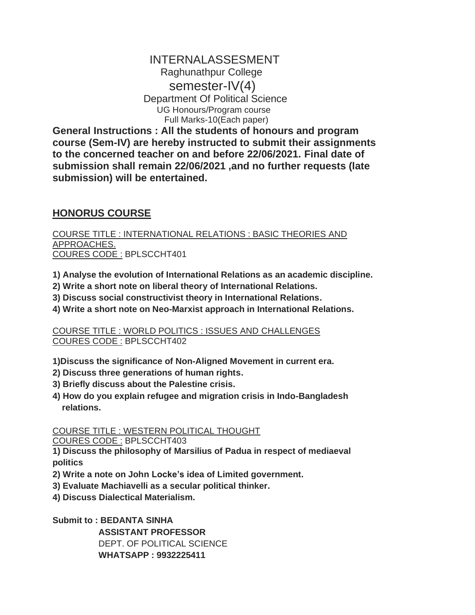## INTERNALASSESMENT Raghunathpur College semester-IV(4) Department Of Political Science UG Honours/Program course Full Marks-10(Each paper)

**General Instructions : All the students of honours and program course (Sem-IV) are hereby instructed to submit their assignments to the concerned teacher on and before 22/06/2021. Final date of submission shall remain 22/06/2021 ,and no further requests (late submission) will be entertained.**

## **HONORUS COURSE**

COURSE TITLE : INTERNATIONAL RELATIONS : BASIC THEORIES AND APPROACHES. COURES CODE : BPLSCCHT401

- **1) Analyse the evolution of International Relations as an academic discipline.**
- **2) Write a short note on liberal theory of International Relations.**
- **3) Discuss social constructivist theory in International Relations.**
- **4) Write a short note on Neo-Marxist approach in International Relations.**

COURSE TITLE : WORLD POLITICS : ISSUES AND CHALLENGES COURES CODE : BPLSCCHT402

**1)Discuss the significance of Non-Aligned Movement in current era.**

- **2) Discuss three generations of human rights.**
- **3) Briefly discuss about the Palestine crisis.**
- **4) How do you explain refugee and migration crisis in Indo-Bangladesh relations.**

COURSE TITLE : WESTERN POLITICAL THOUGHT

COURES CODE : BPLSCCHT403

**1) Discuss the philosophy of Marsilius of Padua in respect of mediaeval politics**

- **2) Write a note on John Locke's idea of Limited government.**
- **3) Evaluate Machiavelli as a secular political thinker.**
- **4) Discuss Dialectical Materialism.**

**Submit to : BEDANTA SINHA ASSISTANT PROFESSOR** DEPT. OF POLITICAL SCIENCE  **WHATSAPP : 9932225411**